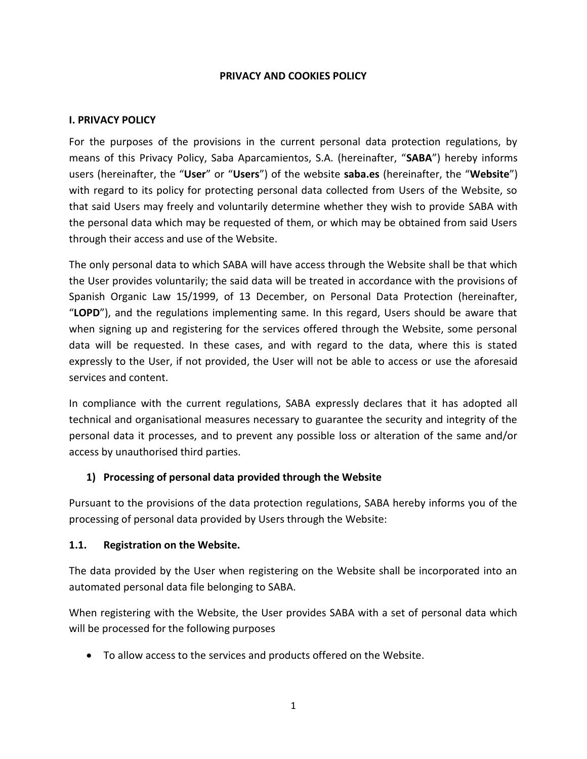#### **PRIVACY AND COOKIES POLICY**

#### **I. PRIVACY POLICY**

For the purposes of the provisions in the current personal data protection regulations, by means of this Privacy Policy, Saba Aparcamientos, S.A. (hereinafter, "**SABA**") hereby informs users (hereinafter, the "**User**" or "**Users**") of the website **saba.es** (hereinafter, the "**Website**") with regard to its policy for protecting personal data collected from Users of the Website, so that said Users may freely and voluntarily determine whether they wish to provide SABA with the personal data which may be requested of them, or which may be obtained from said Users through their access and use of the Website.

The only personal data to which SABA will have access through the Website shall be that which the User provides voluntarily; the said data will be treated in accordance with the provisions of Spanish Organic Law 15/1999, of 13 December, on Personal Data Protection (hereinafter, "**LOPD**"), and the regulations implementing same. In this regard, Users should be aware that when signing up and registering for the services offered through the Website, some personal data will be requested. In these cases, and with regard to the data, where this is stated expressly to the User, if not provided, the User will not be able to access or use the aforesaid services and content.

In compliance with the current regulations, SABA expressly declares that it has adopted all technical and organisational measures necessary to guarantee the security and integrity of the personal data it processes, and to prevent any possible loss or alteration of the same and/or access by unauthorised third parties.

## **1) Processing of personal data provided through the Website**

Pursuant to the provisions of the data protection regulations, SABA hereby informs you of the processing of personal data provided by Users through the Website:

#### **1.1. Registration on the Website.**

The data provided by the User when registering on the Website shall be incorporated into an automated personal data file belonging to SABA.

When registering with the Website, the User provides SABA with a set of personal data which will be processed for the following purposes

To allow access to the services and products offered on the Website.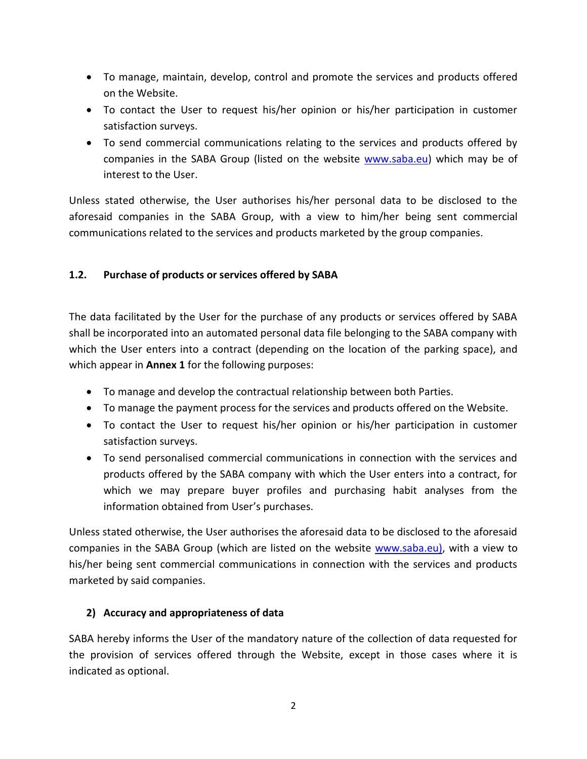- To manage, maintain, develop, control and promote the services and products offered on the Website.
- To contact the User to request his/her opinion or his/her participation in customer satisfaction surveys.
- To send commercial communications relating to the services and products offered by companies in the SABA Group (listed on the website [www.saba.eu\)](http://www.saba.eu/) which may be of interest to the User.

Unless stated otherwise, the User authorises his/her personal data to be disclosed to the aforesaid companies in the SABA Group, with a view to him/her being sent commercial communications related to the services and products marketed by the group companies.

## **1.2. Purchase of products or services offered by SABA**

The data facilitated by the User for the purchase of any products or services offered by SABA shall be incorporated into an automated personal data file belonging to the SABA company with which the User enters into a contract (depending on the location of the parking space), and which appear in **Annex 1** for the following purposes:

- To manage and develop the contractual relationship between both Parties.
- To manage the payment process for the services and products offered on the Website.
- To contact the User to request his/her opinion or his/her participation in customer satisfaction surveys.
- To send personalised commercial communications in connection with the services and products offered by the SABA company with which the User enters into a contract, for which we may prepare buyer profiles and purchasing habit analyses from the information obtained from User's purchases.

Unless stated otherwise, the User authorises the aforesaid data to be disclosed to the aforesaid companies in the SABA Group (which are listed on the website [www.saba.eu\),](http://www.saba.eu/) with a view to his/her being sent commercial communications in connection with the services and products marketed by said companies.

# **2) Accuracy and appropriateness of data**

SABA hereby informs the User of the mandatory nature of the collection of data requested for the provision of services offered through the Website, except in those cases where it is indicated as optional.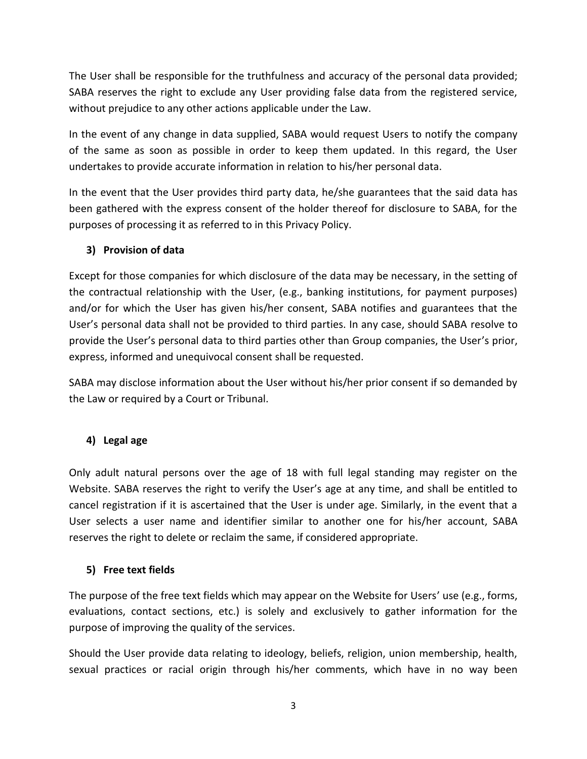The User shall be responsible for the truthfulness and accuracy of the personal data provided; SABA reserves the right to exclude any User providing false data from the registered service, without prejudice to any other actions applicable under the Law.

In the event of any change in data supplied, SABA would request Users to notify the company of the same as soon as possible in order to keep them updated. In this regard, the User undertakes to provide accurate information in relation to his/her personal data.

In the event that the User provides third party data, he/she guarantees that the said data has been gathered with the express consent of the holder thereof for disclosure to SABA, for the purposes of processing it as referred to in this Privacy Policy.

## **3) Provision of data**

Except for those companies for which disclosure of the data may be necessary, in the setting of the contractual relationship with the User, (e.g., banking institutions, for payment purposes) and/or for which the User has given his/her consent, SABA notifies and guarantees that the User's personal data shall not be provided to third parties. In any case, should SABA resolve to provide the User's personal data to third parties other than Group companies, the User's prior, express, informed and unequivocal consent shall be requested.

SABA may disclose information about the User without his/her prior consent if so demanded by the Law or required by a Court or Tribunal.

# **4) Legal age**

Only adult natural persons over the age of 18 with full legal standing may register on the Website. SABA reserves the right to verify the User's age at any time, and shall be entitled to cancel registration if it is ascertained that the User is under age. Similarly, in the event that a User selects a user name and identifier similar to another one for his/her account, SABA reserves the right to delete or reclaim the same, if considered appropriate.

# **5) Free text fields**

The purpose of the free text fields which may appear on the Website for Users' use (e.g., forms, evaluations, contact sections, etc.) is solely and exclusively to gather information for the purpose of improving the quality of the services.

Should the User provide data relating to ideology, beliefs, religion, union membership, health, sexual practices or racial origin through his/her comments, which have in no way been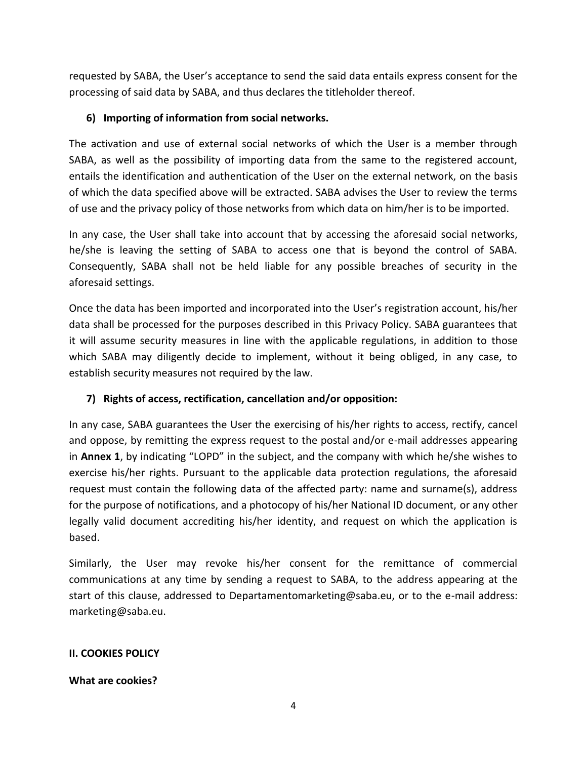requested by SABA, the User's acceptance to send the said data entails express consent for the processing of said data by SABA, and thus declares the titleholder thereof.

## **6) Importing of information from social networks.**

The activation and use of external social networks of which the User is a member through SABA, as well as the possibility of importing data from the same to the registered account, entails the identification and authentication of the User on the external network, on the basis of which the data specified above will be extracted. SABA advises the User to review the terms of use and the privacy policy of those networks from which data on him/her is to be imported.

In any case, the User shall take into account that by accessing the aforesaid social networks, he/she is leaving the setting of SABA to access one that is beyond the control of SABA. Consequently, SABA shall not be held liable for any possible breaches of security in the aforesaid settings.

Once the data has been imported and incorporated into the User's registration account, his/her data shall be processed for the purposes described in this Privacy Policy. SABA guarantees that it will assume security measures in line with the applicable regulations, in addition to those which SABA may diligently decide to implement, without it being obliged, in any case, to establish security measures not required by the law.

# **7) Rights of access, rectification, cancellation and/or opposition:**

In any case, SABA guarantees the User the exercising of his/her rights to access, rectify, cancel and oppose, by remitting the express request to the postal and/or e-mail addresses appearing in **Annex 1**, by indicating "LOPD" in the subject, and the company with which he/she wishes to exercise his/her rights. Pursuant to the applicable data protection regulations, the aforesaid request must contain the following data of the affected party: name and surname(s), address for the purpose of notifications, and a photocopy of his/her National ID document, or any other legally valid document accrediting his/her identity, and request on which the application is based.

Similarly, the User may revoke his/her consent for the remittance of commercial communications at any time by sending a request to SABA, to the address appearing at the start of this clause, addressed to Departamentomarketing@saba.eu, or to the e-mail address: marketing@saba.eu.

## **II. COOKIES POLICY**

## **What are cookies?**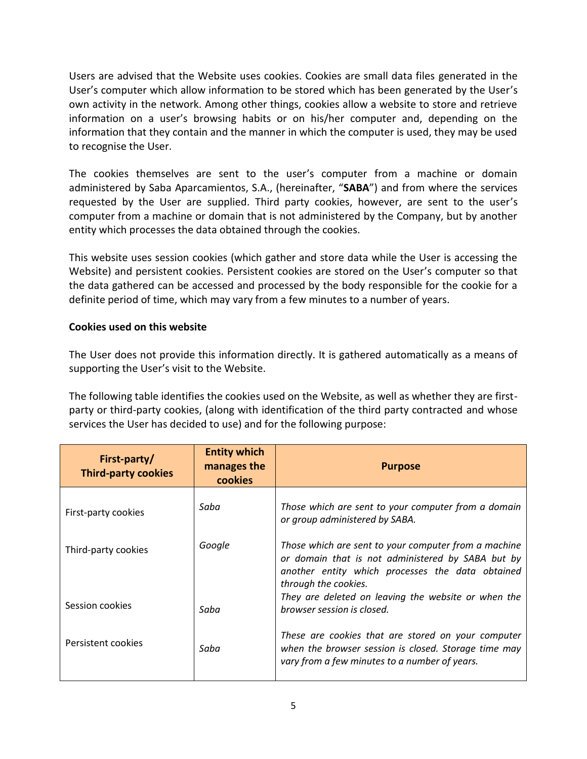Users are advised that the Website uses cookies. Cookies are small data files generated in the User's computer which allow information to be stored which has been generated by the User's own activity in the network. Among other things, cookies allow a website to store and retrieve information on a user's browsing habits or on his/her computer and, depending on the information that they contain and the manner in which the computer is used, they may be used to recognise the User.

The cookies themselves are sent to the user's computer from a machine or domain administered by Saba Aparcamientos, S.A., (hereinafter, "**SABA**") and from where the services requested by the User are supplied. Third party cookies, however, are sent to the user's computer from a machine or domain that is not administered by the Company, but by another entity which processes the data obtained through the cookies.

This website uses session cookies (which gather and store data while the User is accessing the Website) and persistent cookies. Persistent cookies are stored on the User's computer so that the data gathered can be accessed and processed by the body responsible for the cookie for a definite period of time, which may vary from a few minutes to a number of years.

## **Cookies used on this website**

The User does not provide this information directly. It is gathered automatically as a means of supporting the User's visit to the Website.

The following table identifies the cookies used on the Website, as well as whether they are firstparty or third-party cookies, (along with identification of the third party contracted and whose services the User has decided to use) and for the following purpose:

| First-party/<br><b>Third-party cookies</b> | <b>Entity which</b><br>manages the<br>cookies | <b>Purpose</b>                                                                                                                                                                        |
|--------------------------------------------|-----------------------------------------------|---------------------------------------------------------------------------------------------------------------------------------------------------------------------------------------|
| First-party cookies                        | Saba                                          | Those which are sent to your computer from a domain<br>or group administered by SABA.                                                                                                 |
| Third-party cookies                        | Google                                        | Those which are sent to your computer from a machine<br>or domain that is not administered by SABA but by<br>another entity which processes the data obtained<br>through the cookies. |
| Session cookies                            | Saba                                          | They are deleted on leaving the website or when the<br>browser session is closed.                                                                                                     |
| Persistent cookies                         | Saba                                          | These are cookies that are stored on your computer<br>when the browser session is closed. Storage time may<br>vary from a few minutes to a number of years.                           |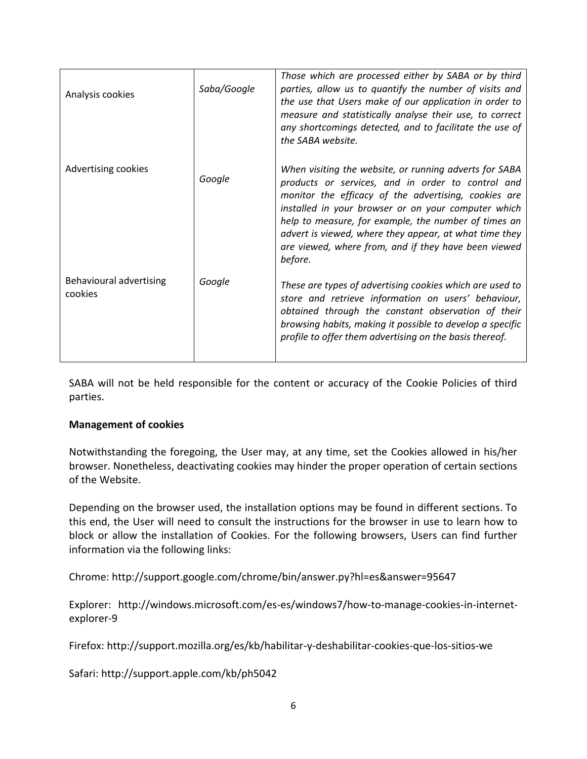| Analysis cookies                   | Saba/Google | Those which are processed either by SABA or by third<br>parties, allow us to quantify the number of visits and<br>the use that Users make of our application in order to<br>measure and statistically analyse their use, to correct<br>any shortcomings detected, and to facilitate the use of<br>the SABA website.                                                                                             |
|------------------------------------|-------------|-----------------------------------------------------------------------------------------------------------------------------------------------------------------------------------------------------------------------------------------------------------------------------------------------------------------------------------------------------------------------------------------------------------------|
| Advertising cookies                | Google      | When visiting the website, or running adverts for SABA<br>products or services, and in order to control and<br>monitor the efficacy of the advertising, cookies are<br>installed in your browser or on your computer which<br>help to measure, for example, the number of times an<br>advert is viewed, where they appear, at what time they<br>are viewed, where from, and if they have been viewed<br>before. |
| Behavioural advertising<br>cookies | Google      | These are types of advertising cookies which are used to<br>store and retrieve information on users' behaviour,<br>obtained through the constant observation of their<br>browsing habits, making it possible to develop a specific<br>profile to offer them advertising on the basis thereof.                                                                                                                   |

SABA will not be held responsible for the content or accuracy of the Cookie Policies of third parties.

#### **Management of cookies**

Notwithstanding the foregoing, the User may, at any time, set the Cookies allowed in his/her browser. Nonetheless, deactivating cookies may hinder the proper operation of certain sections of the Website.

Depending on the browser used, the installation options may be found in different sections. To this end, the User will need to consult the instructions for the browser in use to learn how to block or allow the installation of Cookies. For the following browsers, Users can find further information via the following links:

Chrome: http://support.google.com/chrome/bin/answer.py?hl=es&answer=95647

Explorer: http://windows.microsoft.com/es-es/windows7/how-to-manage-cookies-in-internetexplorer-9

Firefox: http://support.mozilla.org/es/kb/habilitar-y-deshabilitar-cookies-que-los-sitios-we

Safari: http://support.apple.com/kb/ph5042